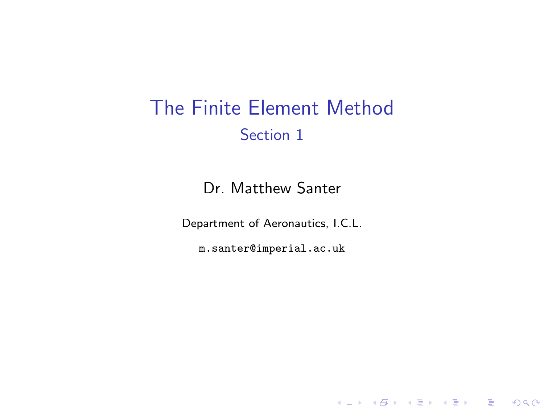## The Finite Element Method Section 1

Dr. Matthew Santer

Department of Aeronautics, I.C.L.

<span id="page-0-0"></span>m.santer@imperial.ac.uk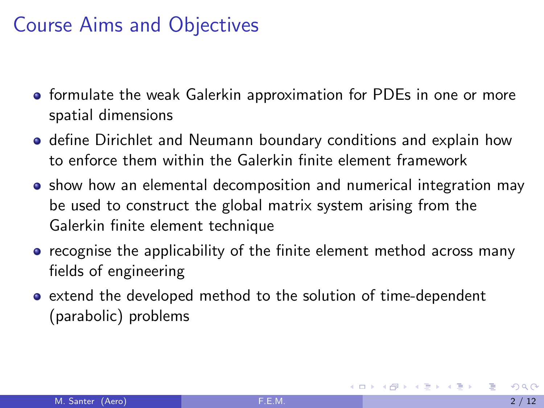## Course Aims and Objectives

- **•** formulate the weak Galerkin approximation for PDEs in one or more spatial dimensions
- **o** define Dirichlet and Neumann boundary conditions and explain how to enforce them within the Galerkin finite element framework
- show how an elemental decomposition and numerical integration mav be used to construct the global matrix system arising from the Galerkin finite element technique
- recognise the applicability of the finite element method across many fields of engineering
- extend the developed method to the solution of time-dependent (parabolic) problems

イロト イ母 トイヨ トイヨ トー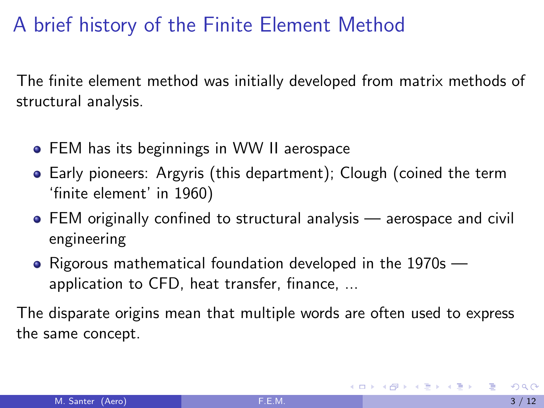# A brief history of the Finite Element Method

The finite element method was initially developed from matrix methods of structural analysis.

- **•** FEM has its beginnings in WW II aerospace
- Early pioneers: Argyris (this department); Clough (coined the term 'finite element' in 1960)
- FEM originally confined to structural analysis aerospace and civil engineering
- Rigorous mathematical foundation developed in the 1970s application to CFD, heat transfer, finance, ...

The disparate origins mean that multiple words are often used to express the same concept.

イロメ イ部メ イ君メ イ君メー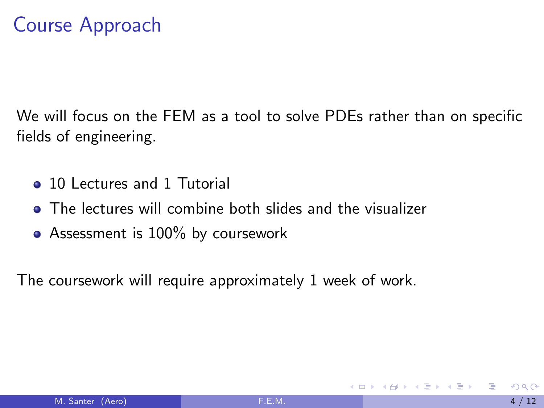## Course Approach

We will focus on the FEM as a tool to solve PDEs rather than on specific fields of engineering.

- 10 Lectures and 1 Tutorial
- The lectures will combine both slides and the visualizer
- Assessment is 100% by coursework

The coursework will require approximately 1 week of work.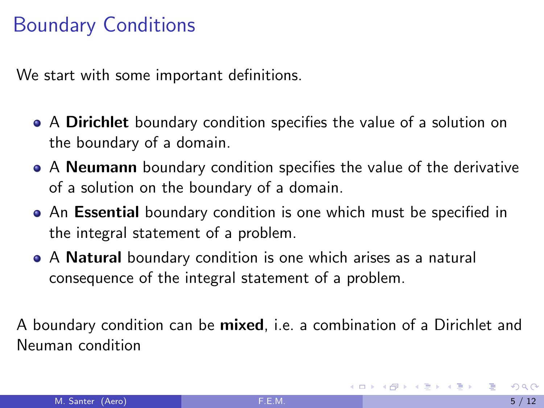## Boundary Conditions

We start with some important definitions.

- A Dirichlet boundary condition specifies the value of a solution on the boundary of a domain.
- A **Neumann** boundary condition specifies the value of the derivative of a solution on the boundary of a domain.
- An Essential boundary condition is one which must be specified in the integral statement of a problem.
- A **Natural** boundary condition is one which arises as a natural consequence of the integral statement of a problem.

A boundary condition can be mixed, i.e. a combination of a Dirichlet and Neuman condition

→ イ団 ト イ ヨ ト イ ヨ ト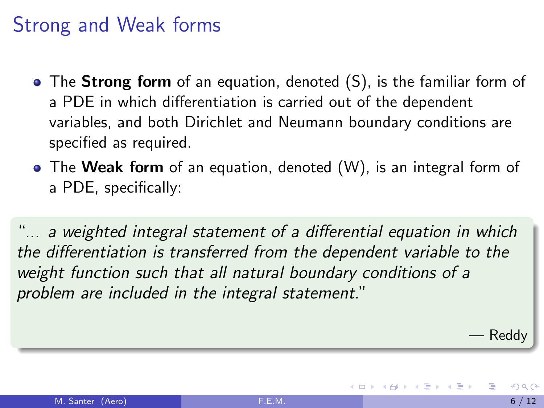### Strong and Weak forms

- The **Strong form** of an equation, denoted (S), is the familiar form of a PDE in which differentiation is carried out of the dependent variables, and both Dirichlet and Neumann boundary conditions are specified as required.
- The Weak form of an equation, denoted (W), is an integral form of a PDE, specifically:

"... a weighted integral statement of a differential equation in which the differentiation is transferred from the dependent variable to the weight function such that all natural boundary conditions of a problem are included in the integral statement."

— Reddy

医毛囊 医牙骨下的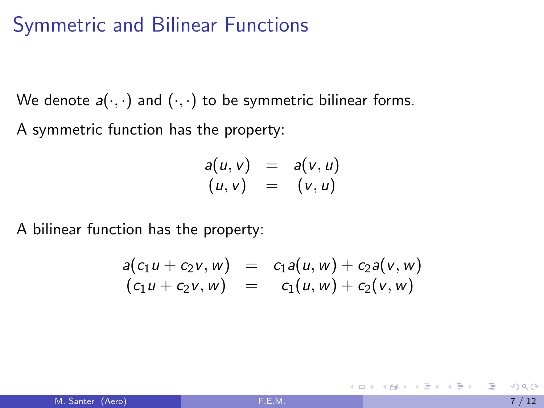#### Symmetric and Bilinear Functions

We denote  $a(\cdot, \cdot)$  and  $(\cdot, \cdot)$  to be symmetric bilinear forms.

A symmetric function has the property:

$$
a(u, v) = a(v, u)
$$
  

$$
(u, v) = (v, u)
$$

A bilinear function has the property:

$$
a(c_1u + c_2v, w) = c_1a(u, w) + c_2a(v, w)
$$
  
\n
$$
(c_1u + c_2v, w) = c_1(u, w) + c_2(v, w)
$$

イロメ イ部メ イ君メ イ君メー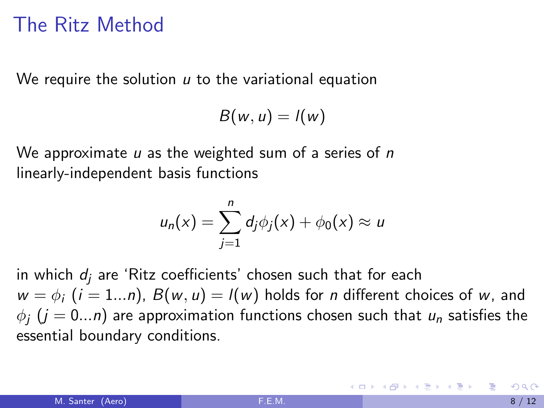### The Ritz Method

We require the solution  $u$  to the variational equation

```
B(w, u) = l(w)
```
We approximate  $u$  as the weighted sum of a series of  $n$ linearly-independent basis functions

$$
u_n(x) = \sum_{j=1}^n d_j \phi_j(x) + \phi_0(x) \approx u
$$

in which  $d_i$  are 'Ritz coefficients' chosen such that for each  $w = \phi_i$  ( $i = 1...n$ ),  $B(w, u) = l(w)$  holds for *n* different choices of w, and  $\phi_i$  ( $j = 0...n$ ) are approximation functions chosen such that  $u_n$  satisfies the essential boundary conditions.

K ロンス 御 > ス ヨ > ス ヨ > 一 ヨ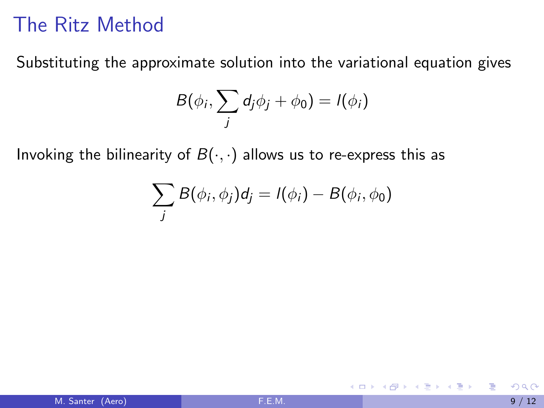## The Ritz Method

Substituting the approximate solution into the variational equation gives

$$
B(\phi_i, \sum_j d_j \phi_j + \phi_0) = I(\phi_i)
$$

Invoking the bilinearity of  $B(\cdot, \cdot)$  allows us to re-express this as

$$
\sum_j B(\phi_i, \phi_j) d_j = l(\phi_i) - B(\phi_i, \phi_0)
$$

造

K ロ ▶ K 優 ▶ K 둘 ▶ K 둘 ▶ ...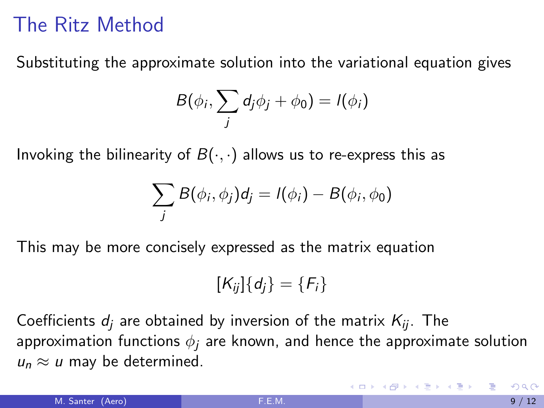## The Ritz Method

Substituting the approximate solution into the variational equation gives

$$
B(\phi_i, \sum_j d_j \phi_j + \phi_0) = I(\phi_i)
$$

Invoking the bilinearity of  $B(\cdot, \cdot)$  allows us to re-express this as

$$
\sum_j B(\phi_i, \phi_j) d_j = l(\phi_i) - B(\phi_i, \phi_0)
$$

This may be more concisely expressed as the matrix equation

$$
[K_{ij}]\{d_j\}=\{F_i\}
$$

Coefficients  $d_i$  are obtained by inversion of the matrix  $K_{ii}$ . The approximation functions  $\phi_i$  are known, and hence the approximate solution  $u_n \approx u$  may be determined.

K ロンス 御 > ス ヨ > ス ヨ > 一 ヨ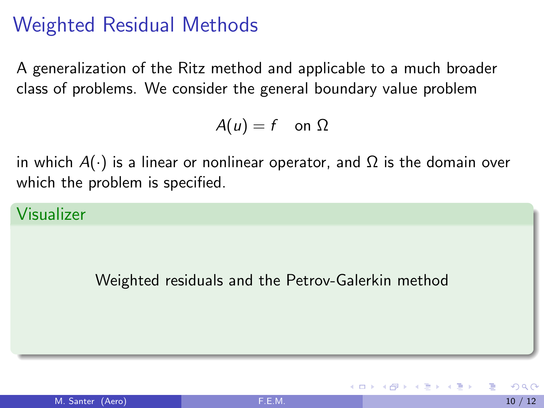## Weighted Residual Methods

A generalization of the Ritz method and applicable to a much broader class of problems. We consider the general boundary value problem

 $A(u) = f$  on  $\Omega$ 

in which  $A(\cdot)$  is a linear or nonlinear operator, and  $\Omega$  is the domain over which the problem is specified.

Visualizer

Weighted residuals and the Petrov-Galerkin method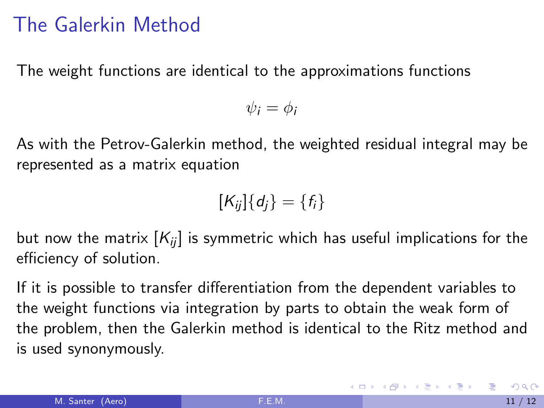### The Galerkin Method

The weight functions are identical to the approximations functions

$$
\psi_i = \phi_i
$$

As with the Petrov-Galerkin method, the weighted residual integral may be represented as a matrix equation

$$
[K_{ij}]\{d_j\}=\{f_i\}
$$

but now the matrix  $[K_{ii}]$  is symmetric which has useful implications for the efficiency of solution.

If it is possible to transfer differentiation from the dependent variables to the weight functions via integration by parts to obtain the weak form of the problem, then the Galerkin method is identical to the Ritz method and is used synonymously.

**K ロ ▶ | K 母 ▶ | K ヨ ▶ | K ヨ ▶ |**